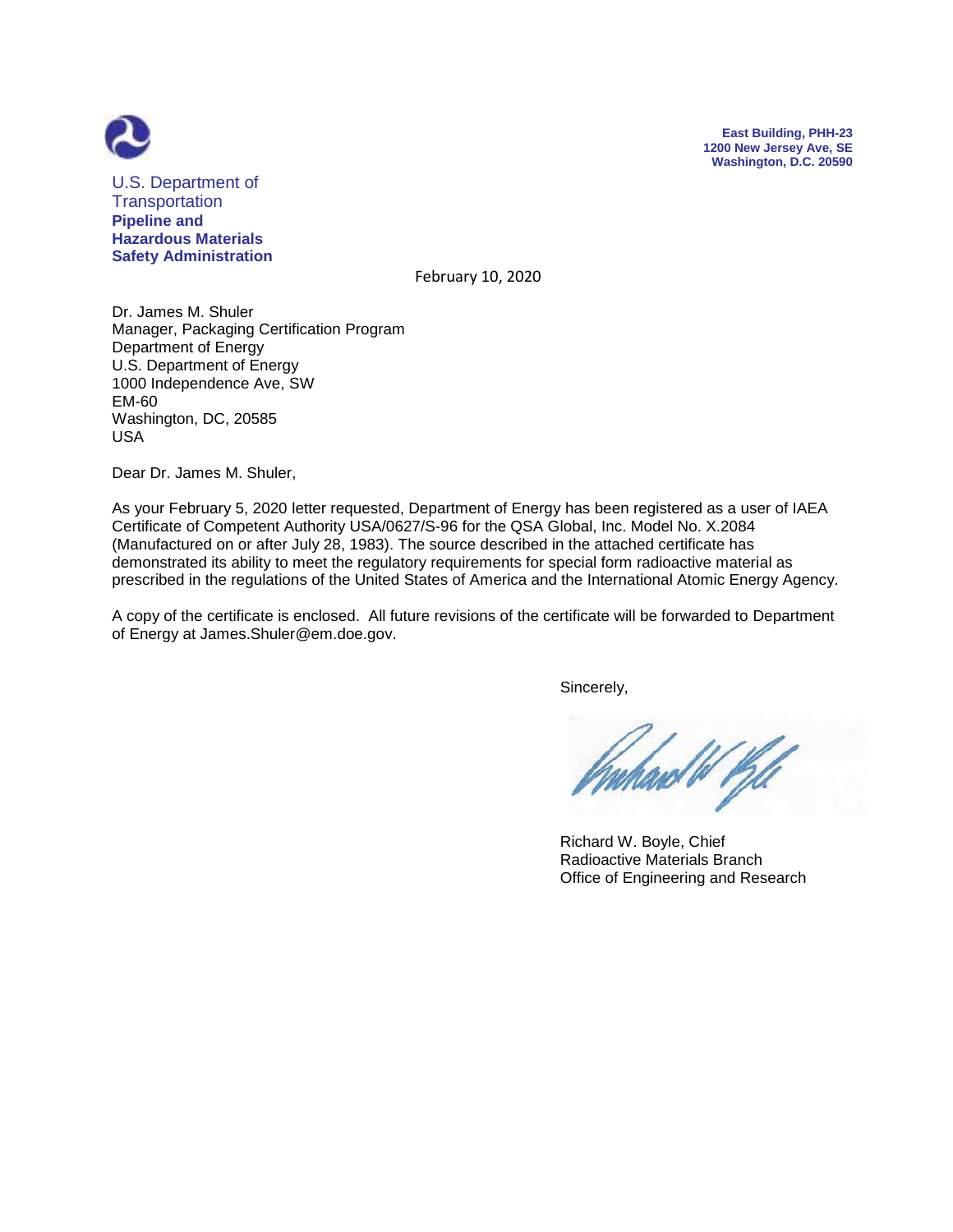



U.S. Department of **Transportation Pipeline and Hazardous Materials Safety Administration**

February 10, 2020

Dr. James M. Shuler Manager, Packaging Certification Program Department of Energy U.S. Department of Energy 1000 Independence Ave, SW EM-60 Washington, DC, 20585 USA

Dear Dr. James M. Shuler,

As your February 5, 2020 letter requested, Department of Energy has been registered as a user of IAEA Certificate of Competent Authority USA/0627/S-96 for the QSA Global, Inc. Model No. X.2084 (Manufactured on or after July 28, 1983). The source described in the attached certificate has demonstrated its ability to meet the regulatory requirements for special form radioactive material as prescribed in the regulations of the United States of America and the International Atomic Energy Agency.

A copy of the certificate is enclosed. All future revisions of the certificate will be forwarded to Department of Energy at James.Shuler@em.doe.gov.

Sincerely,

 Richard W. Boyle, Chief Radioactive Materials Branch Office of Engineering and Research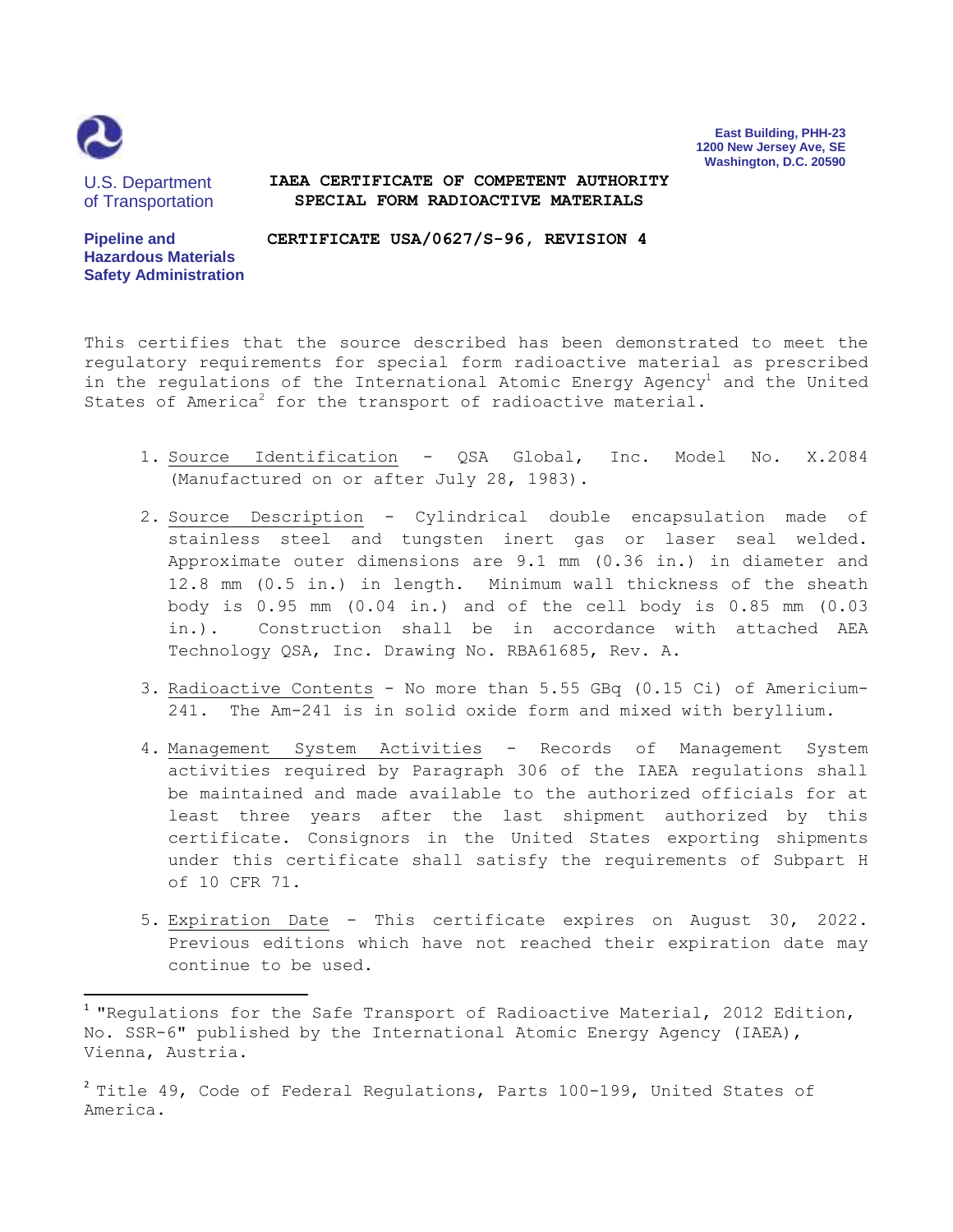

 $\overline{\phantom{a}}$ 

**East Building, PHH-23 1200 New Jersey Ave, SE Washington, D.C. 20590**

U.S. Department of Transportation

## **IAEA CERTIFICATE OF COMPETENT AUTHORITY SPECIAL FORM RADIOACTIVE MATERIALS**

**Pipeline and Hazardous Materials Safety Administration CERTIFICATE USA/0627/S-96, REVISION 4**

This certifies that the source described has been demonstrated to meet the regulatory requirements for special form radioactive material as prescribed in the regulations of the International Atomic Energy Agency<sup>1</sup> and the United States of America<sup>2</sup> for the transport of radioactive material.

- 1. Source Identification QSA Global, Inc. Model No. X.2084 (Manufactured on or after July 28, 1983).
- 2. Source Description Cylindrical double encapsulation made of stainless steel and tungsten inert gas or laser seal welded. Approximate outer dimensions are 9.1 mm (0.36 in.) in diameter and 12.8 mm (0.5 in.) in length. Minimum wall thickness of the sheath body is 0.95 mm (0.04 in.) and of the cell body is 0.85 mm (0.03 in.). Construction shall be in accordance with attached AEA Technology QSA, Inc. Drawing No. RBA61685, Rev. A.
- 3. Radioactive Contents No more than 5.55 GBq (0.15 Ci) of Americium-241. The Am-241 is in solid oxide form and mixed with beryllium.
- 4. Management System Activities Records of Management System activities required by Paragraph 306 of the IAEA regulations shall be maintained and made available to the authorized officials for at least three years after the last shipment authorized by this certificate. Consignors in the United States exporting shipments under this certificate shall satisfy the requirements of Subpart H of 10 CFR 71.
- 5. Expiration Date This certificate expires on August 30, 2022. Previous editions which have not reached their expiration date may continue to be used.

 $^1$  "Regulations for the Safe Transport of Radioactive Material, 2012 Edition, No. SSR-6" published by the International Atomic Energy Agency (IAEA), Vienna, Austria.

 $^2$  Title 49, Code of Federal Regulations, Parts 100-199, United States of America.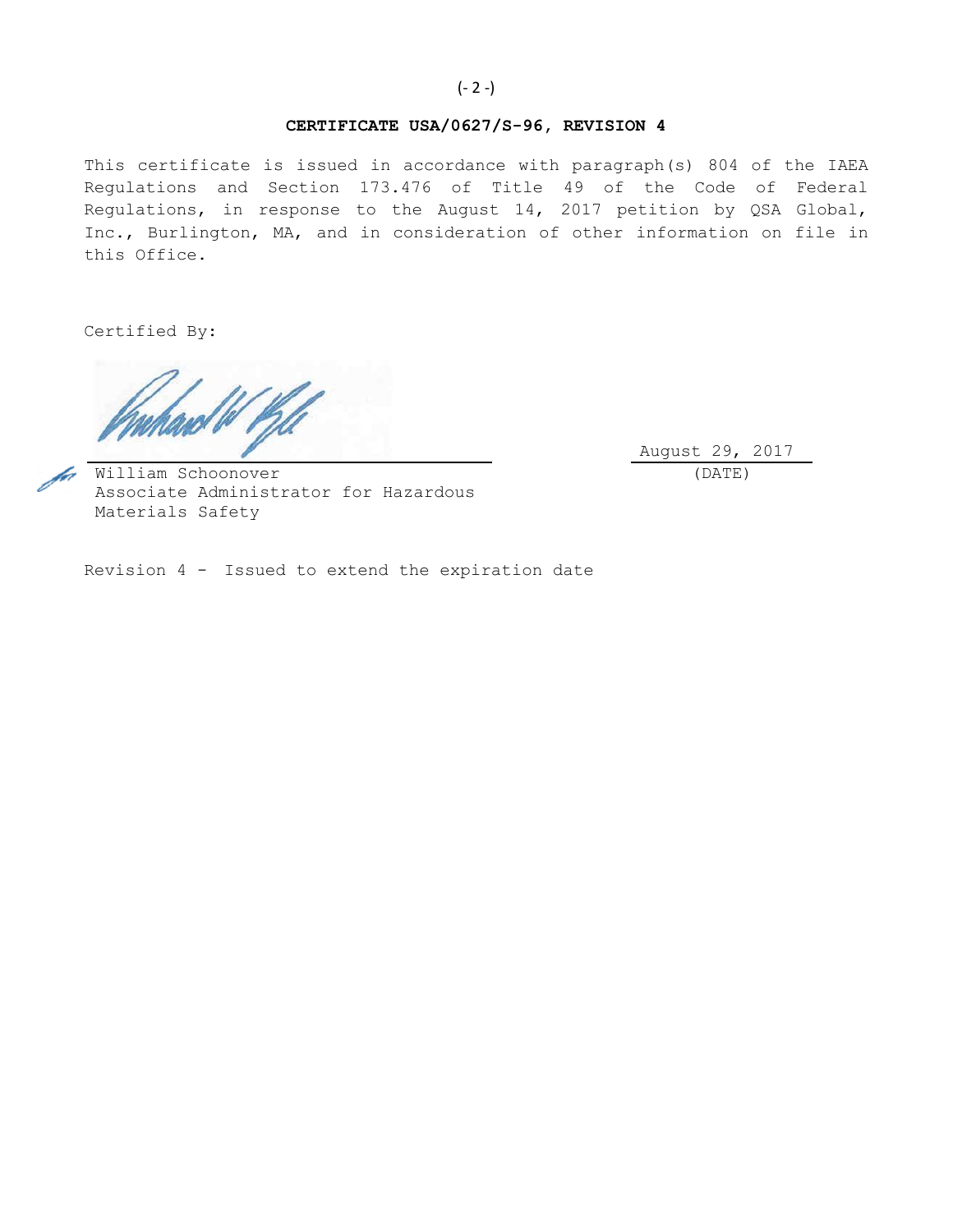## **CERTIFICATE USA/0627/S-96, REVISION 4**

This certificate is issued in accordance with paragraph(s) 804 of the IAEA Regulations and Section 173.476 of Title 49 of the Code of Federal Regulations, in response to the August 14, 2017 petition by QSA Global, Inc., Burlington, MA, and in consideration of other information on file in this Office.

Certified By:

August 29, 2017 (DATE)

fot William Schoonover Associate Administrator for Hazardous Materials Safety

Revision 4 - Issued to extend the expiration date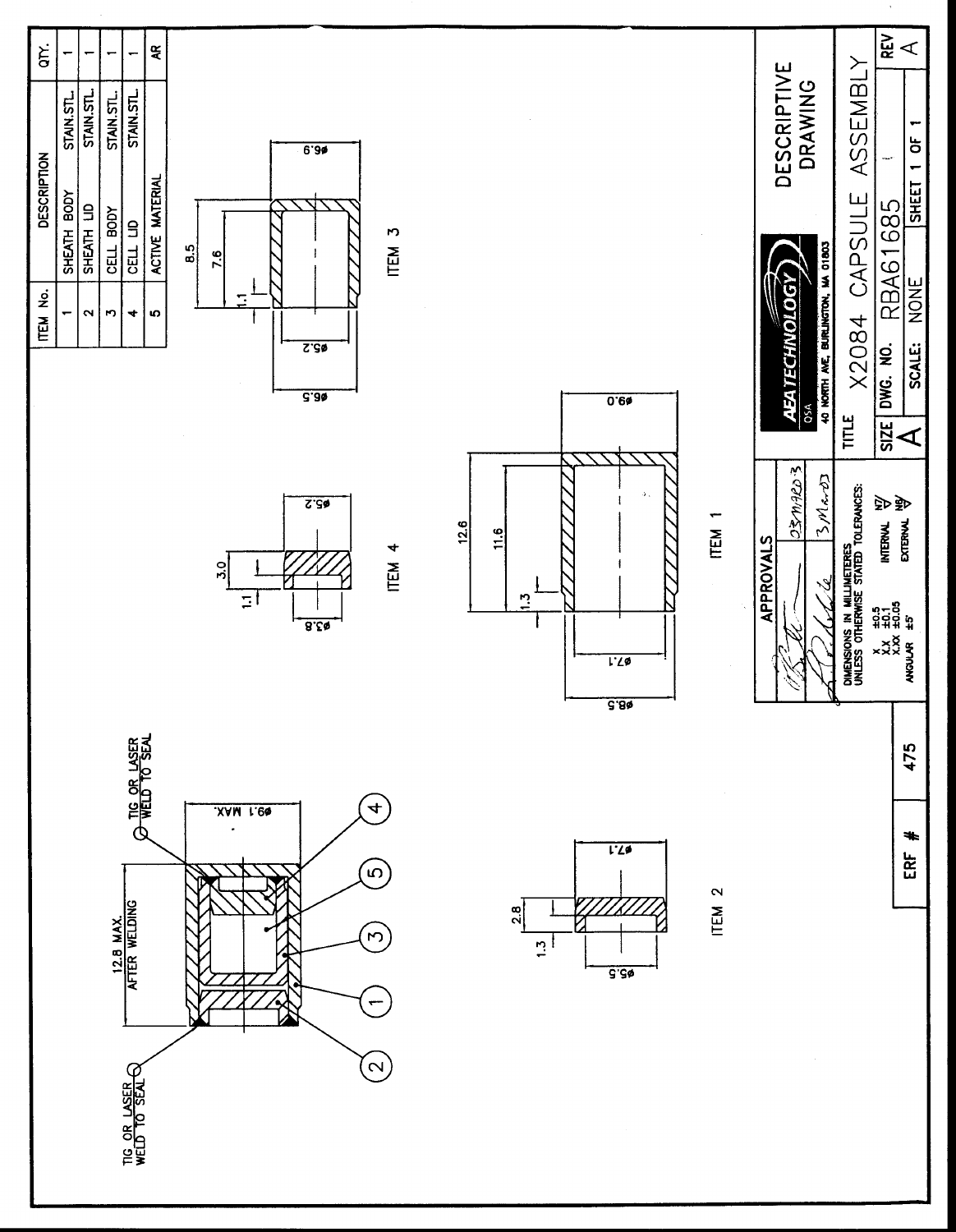